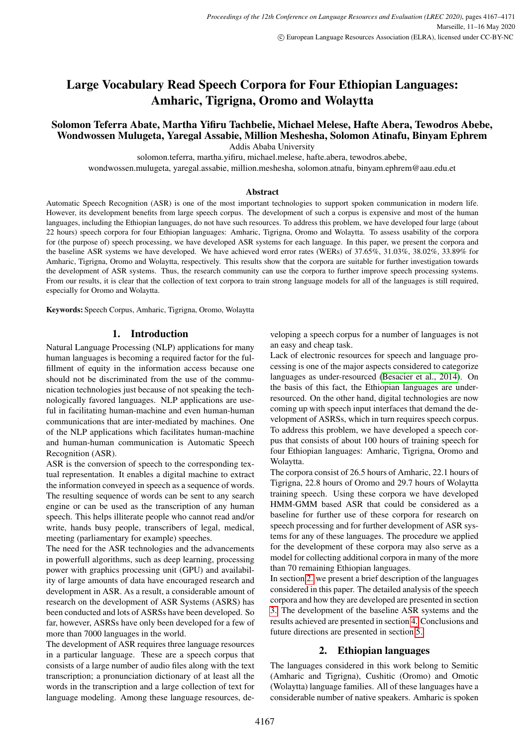# Large Vocabulary Read Speech Corpora for Four Ethiopian Languages: Amharic, Tigrigna, Oromo and Wolaytta

## Solomon Teferra Abate, Martha Yifiru Tachbelie, Michael Melese, Hafte Abera, Tewodros Abebe, Wondwossen Mulugeta, Yaregal Assabie, Million Meshesha, Solomon Atinafu, Binyam Ephrem

Addis Ababa University

solomon.teferra, martha.yifiru, michael.melese, hafte.abera, tewodros.abebe,

wondwossen.mulugeta, yaregal.assabie, million.meshesha, solomon.atnafu, binyam.ephrem@aau.edu.et

#### **Abstract**

Automatic Speech Recognition (ASR) is one of the most important technologies to support spoken communication in modern life. However, its development benefits from large speech corpus. The development of such a corpus is expensive and most of the human languages, including the Ethiopian languages, do not have such resources. To address this problem, we have developed four large (about 22 hours) speech corpora for four Ethiopian languages: Amharic, Tigrigna, Oromo and Wolaytta. To assess usability of the corpora for (the purpose of) speech processing, we have developed ASR systems for each language. In this paper, we present the corpora and the baseline ASR systems we have developed. We have achieved word error rates (WERs) of 37.65%, 31.03%, 38.02%, 33.89% for Amharic, Tigrigna, Oromo and Wolaytta, respectively. This results show that the corpora are suitable for further investigation towards the development of ASR systems. Thus, the research community can use the corpora to further improve speech processing systems. From our results, it is clear that the collection of text corpora to train strong language models for all of the languages is still required, especially for Oromo and Wolaytta.

Keywords: Speech Corpus, Amharic, Tigrigna, Oromo, Wolaytta

## 1. Introduction

<span id="page-0-1"></span>Natural Language Processing (NLP) applications for many human languages is becoming a required factor for the fulfillment of equity in the information access because one should not be discriminated from the use of the communication technologies just because of not speaking the technologically favored languages. NLP applications are useful in facilitating human-machine and even human-human communications that are inter-mediated by machines. One of the NLP applications which facilitates human-machine and human-human communication is Automatic Speech Recognition (ASR).

ASR is the conversion of speech to the corresponding textual representation. It enables a digital machine to extract the information conveyed in speech as a sequence of words. The resulting sequence of words can be sent to any search engine or can be used as the transcription of any human speech. This helps illiterate people who cannot read and/or write, hands busy people, transcribers of legal, medical, meeting (parliamentary for example) speeches.

The need for the ASR technologies and the advancements in powerfull algorithms, such as deep learning, processing power with graphics processing unit (GPU) and availability of large amounts of data have encouraged research and development in ASR. As a result, a considerable amount of research on the development of ASR Systems (ASRS) has been conducted and lots of ASRSs have been developed. So far, however, ASRSs have only been developed for a few of more than 7000 languages in the world.

The development of ASR requires three language resources in a particular language. These are a speech corpus that consists of a large number of audio files along with the text transcription; a pronunciation dictionary of at least all the words in the transcription and a large collection of text for language modeling. Among these language resources, developing a speech corpus for a number of languages is not an easy and cheap task.

Lack of electronic resources for speech and language processing is one of the major aspects considered to categorize languages as under-resourced [\(Besacier et al., 2014\)](#page-4-0). On the basis of this fact, the Ethiopian languages are underresourced. On the other hand, digital technologies are now coming up with speech input interfaces that demand the development of ASRSs, which in turn requires speech corpus. To address this problem, we have developed a speech corpus that consists of about 100 hours of training speech for four Ethiopian languages: Amharic, Tigrigna, Oromo and Wolaytta.

The corpora consist of 26.5 hours of Amharic, 22.1 hours of Tigrigna, 22.8 hours of Oromo and 29.7 hours of Wolaytta training speech. Using these corpora we have developed HMM-GMM based ASR that could be considered as a baseline for further use of these corpora for research on speech processing and for further development of ASR systems for any of these languages. The procedure we applied for the development of these corpora may also serve as a model for collecting additional corpora in many of the more than 70 remaining Ethiopian languages.

In section [2.](#page-0-0) we present a brief description of the languages considered in this paper. The detailed analysis of the speech corpora and how they are developed are presented in section [3.](#page-1-0) The development of the baseline ASR systems and the results achieved are presented in section [4.](#page-2-0) Conclusions and future directions are presented in section [5.](#page-3-0)

#### 2. Ethiopian languages

<span id="page-0-0"></span>The languages considered in this work belong to Semitic (Amharic and Tigrigna), Cushitic (Oromo) and Omotic (Wolaytta) language families. All of these languages have a considerable number of native speakers. Amharic is spoken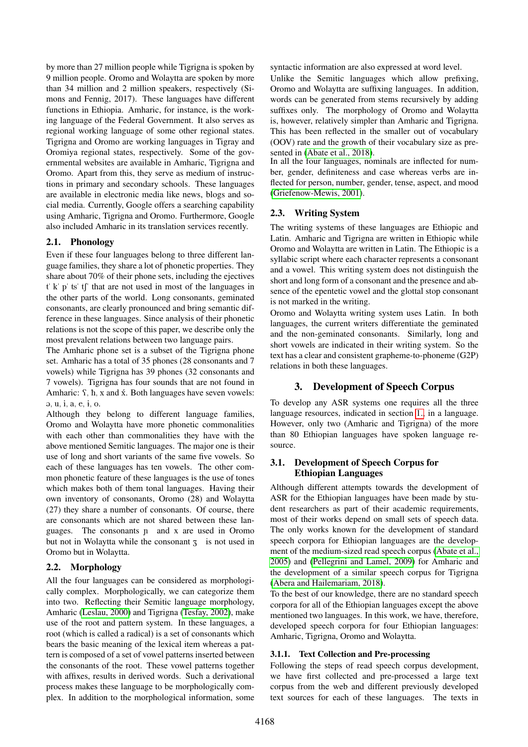by more than 27 million people while Tigrigna is spoken by 9 million people. Oromo and Wolaytta are spoken by more than 34 million and 2 million speakers, respectively (Simons and Fennig, 2017). These languages have different functions in Ethiopia. Amharic, for instance, is the working language of the Federal Government. It also serves as regional working language of some other regional states. Tigrigna and Oromo are working languages in Tigray and Oromiya regional states, respectively. Some of the governmental websites are available in Amharic, Tigrigna and Oromo. Apart from this, they serve as medium of instructions in primary and secondary schools. These languages are available in electronic media like news, blogs and social media. Currently, Google offers a searching capability using Amharic, Tigrigna and Oromo. Furthermore, Google also included Amharic in its translation services recently.

#### 2.1. Phonology

Even if these four languages belong to three different language families, they share a lot of phonetic properties. They share about 70% of their phone sets, including the ejectives  $t'$  k" p" ts" tf" that are not used in most of the languages in the other parts of the world. Long consonants, geminated consonants, are clearly pronounced and bring semantic difference in these languages. Since analysis of their phonetic relations is not the scope of this paper, we describe only the most prevalent relations between two language pairs.

The Amharic phone set is a subset of the Tigrigna phone set. Amharic has a total of 35 phones (28 consonants and 7 vowels) while Tigrigna has 39 phones (32 consonants and 7 vowels). Tigrigna has four sounds that are not found in Amharic:  $\mathbf{S}$ ,  $\mathbf{h}$ , x and  $\dot{\mathbf{x}}$ . Both languages have seven vowels: @, u, i, a, e, 1, o.

Although they belong to different language families, Oromo and Wolaytta have more phonetic commonalities with each other than commonalities they have with the above mentioned Semitic languages. The major one is their use of long and short variants of the same five vowels. So each of these languages has ten vowels. The other common phonetic feature of these languages is the use of tones which makes both of them tonal languages. Having their own inventory of consonants, Oromo (28) and Wolaytta (27) they share a number of consonants. Of course, there are consonants which are not shared between these languages. The consonants ñ and x are used in Oromo but not in Wolaytta while the consonant  $\overline{z}$  is not used in Oromo but in Wolaytta.

## 2.2. Morphology

All the four languages can be considered as morphologically complex. Morphologically, we can categorize them into two. Reflecting their Semitic language morphology, Amharic [\(Leslau, 2000\)](#page-4-1) and Tigrigna [\(Tesfay, 2002\)](#page-4-2), make use of the root and pattern system. In these languages, a root (which is called a radical) is a set of consonants which bears the basic meaning of the lexical item whereas a pattern is composed of a set of vowel patterns inserted between the consonants of the root. These vowel patterns together with affixes, results in derived words. Such a derivational process makes these language to be morphologically complex. In addition to the morphological information, some

syntactic information are also expressed at word level. Unlike the Semitic languages which allow prefixing, Oromo and Wolaytta are suffixing languages. In addition, words can be generated from stems recursively by adding suffixes only. The morphology of Oromo and Wolaytta is, however, relatively simpler than Amharic and Tigrigna. This has been reflected in the smaller out of vocabulary (OOV) rate and the growth of their vocabulary size as pre-sented in [\(Abate et al., 2018\)](#page-4-3).

In all the four languages, nominals are inflected for number, gender, definiteness and case whereas verbs are inflected for person, number, gender, tense, aspect, and mood [\(Griefenow-Mewis, 2001\)](#page-4-4).

## <span id="page-1-1"></span>2.3. Writing System

The writing systems of these languages are Ethiopic and Latin. Amharic and Tigrigna are written in Ethiopic while Oromo and Wolaytta are written in Latin. The Ethiopic is a syllabic script where each character represents a consonant and a vowel. This writing system does not distinguish the short and long form of a consonant and the presence and absence of the epentetic vowel and the glottal stop consonant is not marked in the writing.

Oromo and Wolaytta writing system uses Latin. In both languages, the current writers differentiate the geminated and the non-geminated consonants. Similarly, long and short vowels are indicated in their writing system. So the text has a clear and consistent grapheme-to-phoneme (G2P) relations in both these languages.

## 3. Development of Speech Corpus

<span id="page-1-0"></span>To develop any ASR systems one requires all the three language resources, indicated in section [1.,](#page-0-1) in a language. However, only two (Amharic and Tigrigna) of the more than 80 Ethiopian languages have spoken language resource.

## 3.1. Development of Speech Corpus for Ethiopian Languages

Although different attempts towards the development of ASR for the Ethiopian languages have been made by student researchers as part of their academic requirements, most of their works depend on small sets of speech data. The only works known for the development of standard speech corpora for Ethiopian languages are the development of the medium-sized read speech corpus [\(Abate et al.,](#page-4-5) [2005\)](#page-4-5) and [\(Pellegrini and Lamel, 2009\)](#page-4-6) for Amharic and the development of a similar speech corpus for Tigrigna [\(Abera and Hailemariam, 2018\)](#page-4-7).

To the best of our knowledge, there are no standard speech corpora for all of the Ethiopian languages except the above mentioned two languages. In this work, we have, therefore, developed speech corpora for four Ethiopian languages: Amharic, Tigrigna, Oromo and Wolaytta.

#### 3.1.1. Text Collection and Pre-processing

Following the steps of read speech corpus development, we have first collected and pre-processed a large text corpus from the web and different previously developed text sources for each of these languages. The texts in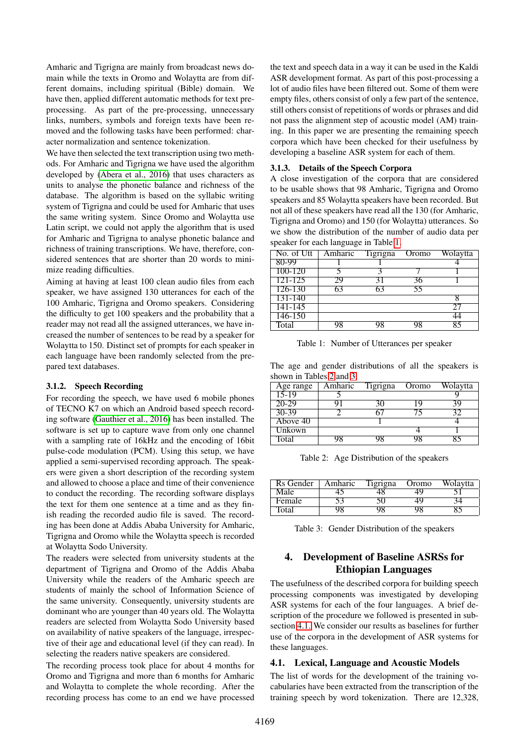Amharic and Tigrigna are mainly from broadcast news domain while the texts in Oromo and Wolaytta are from different domains, including spiritual (Bible) domain. We have then, applied different automatic methods for text preprocessing. As part of the pre-processing, unnecessary links, numbers, symbols and foreign texts have been removed and the following tasks have been performed: character normalization and sentence tokenization.

We have then selected the text transcription using two methods. For Amharic and Tigrigna we have used the algorithm developed by [\(Abera et al., 2016\)](#page-4-8) that uses characters as units to analyse the phonetic balance and richness of the database. The algorithm is based on the syllabic writing system of Tigrigna and could be used for Amharic that uses the same writing system. Since Oromo and Wolaytta use Latin script, we could not apply the algorithm that is used for Amharic and Tigrigna to analyse phonetic balance and richness of training transcriptions. We have, therefore, considered sentences that are shorter than 20 words to minimize reading difficulties.

Aiming at having at least 100 clean audio files from each speaker, we have assigned 130 utterances for each of the 100 Amharic, Tigrigna and Oromo speakers. Considering the difficulty to get 100 speakers and the probability that a reader may not read all the assigned utterances, we have increased the number of sentences to be read by a speaker for Wolaytta to 150. Distinct set of prompts for each speaker in each language have been randomly selected from the prepared text databases.

#### 3.1.2. Speech Recording

For recording the speech, we have used 6 mobile phones of TECNO K7 on which an Android based speech recording software [\(Gauthier et al., 2016\)](#page-4-9) has been installed. The software is set up to capture wave from only one channel with a sampling rate of 16kHz and the encoding of 16bit pulse-code modulation (PCM). Using this setup, we have applied a semi-supervised recording approach. The speakers were given a short description of the recording system and allowed to choose a place and time of their convenience to conduct the recording. The recording software displays the text for them one sentence at a time and as they finish reading the recorded audio file is saved. The recording has been done at Addis Ababa University for Amharic, Tigrigna and Oromo while the Wolaytta speech is recorded at Wolaytta Sodo University.

The readers were selected from university students at the department of Tigrigna and Oromo of the Addis Ababa University while the readers of the Amharic speech are students of mainly the school of Information Science of the same university. Consequently, university students are dominant who are younger than 40 years old. The Wolaytta readers are selected from Wolaytta Sodo University based on availability of native speakers of the language, irrespective of their age and educational level (if they can read). In selecting the readers native speakers are considered.

The recording process took place for about 4 months for Oromo and Tigrigna and more than 6 months for Amharic and Wolaytta to complete the whole recording. After the recording process has come to an end we have processed the text and speech data in a way it can be used in the Kaldi ASR development format. As part of this post-processing a lot of audio files have been filtered out. Some of them were empty files, others consist of only a few part of the sentence, still others consist of repetitions of words or phrases and did not pass the alignment step of acoustic model (AM) training. In this paper we are presenting the remaining speech corpora which have been checked for their usefulness by developing a baseline ASR system for each of them.

#### 3.1.3. Details of the Speech Corpora

A close investigation of the corpora that are considered to be usable shows that 98 Amharic, Tigrigna and Oromo speakers and 85 Wolaytta speakers have been recorded. But not all of these speakers have read all the 130 (for Amharic, Tigrigna and Oromo) and 150 (for Wolaytta) utterances. So we show the distribution of the number of audio data per speaker for each language in Table [1.](#page-2-1)

| No. of Utt  | Amharic | Tigrigna | Oromo | Wolaytta |
|-------------|---------|----------|-------|----------|
| 80-99       |         |          |       |          |
| 100-120     |         |          |       |          |
| $121 - 125$ |         |          |       |          |
| 126-130     |         |          | 55    |          |
| 131-140     |         |          |       |          |
| $141 - 145$ |         |          |       |          |
| 146-150     |         |          |       |          |
| Total       |         |          |       |          |

<span id="page-2-1"></span>Table 1: Number of Utterances per speaker

The age and gender distributions of all the speakers is shown in Tables [2](#page-2-2) and [3.](#page-2-3)

| Age range | Amharic | <b>Tigrigna</b> | Oromo | Wolaytta |
|-----------|---------|-----------------|-------|----------|
| 15-19     |         |                 |       |          |
| 20-29     |         |                 |       |          |
| $30-39$   |         |                 |       |          |
| Above 40  |         |                 |       |          |
| Unkown    |         |                 |       |          |
| Total     |         |                 |       |          |

<span id="page-2-2"></span>Table 2: Age Distribution of the speakers

| Rs Gender | Amharic | l'igrigna | Oromo | Wolaytta |
|-----------|---------|-----------|-------|----------|
| Male      |         |           |       |          |
| Female    |         |           |       |          |
| 'I'otal   |         |           |       |          |

<span id="page-2-3"></span>Table 3: Gender Distribution of the speakers

## <span id="page-2-0"></span>4. Development of Baseline ASRSs for Ethiopian Languages

The usefulness of the described corpora for building speech processing components was investigated by developing ASR systems for each of the four languages. A brief description of the procedure we followed is presented in subsection [4.1.](#page-2-4) We consider our results as baselines for further use of the corpora in the development of ASR systems for these languages.

#### <span id="page-2-4"></span>4.1. Lexical, Language and Acoustic Models

The list of words for the development of the training vocabularies have been extracted from the transcription of the training speech by word tokenization. There are 12,328,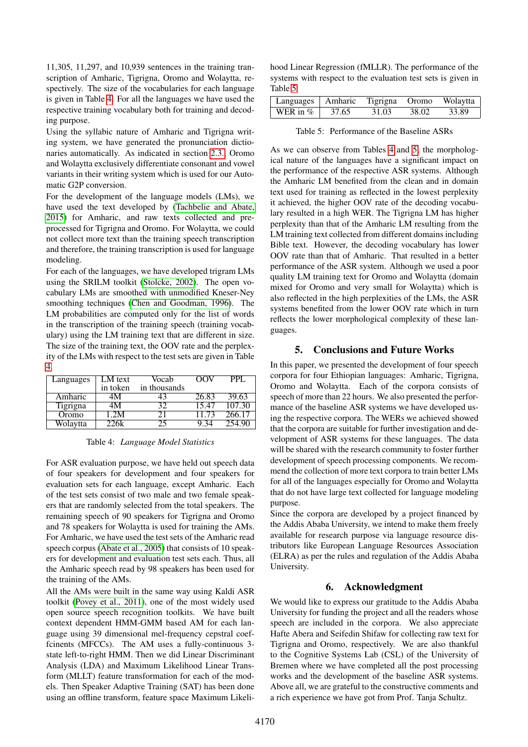11,305, 11,297, and 10,939 sentences in the training transcription of Amharic, Tigrigna, Oromo and Wolaytta, respectively. The size of the vocabularies for each language is given in Table [4.](#page-3-1) For all the languages we have used the respective training vocabulary both for training and decoding purpose.

Using the syllabic nature of Amharic and Tigrigna writing system, we have generated the pronunciation dictionaries automatically. As indicated in section [2.3.,](#page-1-1) Oromo and Wolaytta exclusively differentiate consonant and vowel variants in their writing system which is used for our Automatic G2P conversion.

For the development of the language models (LMs), we have used the text developed by [\(Tachbelie and Abate,](#page-4-10) [2015\)](#page-4-10) for Amharic, and raw texts collected and preprocessed for Tigrigna and Oromo. For Wolaytta, we could not collect more text than the training speech transcription and therefore, the training transcription is used for language modeling.

For each of the languages, we have developed trigram LMs using the SRILM toolkit [\(Stolcke, 2002\)](#page-4-11). The open vocabulary LMs are smoothed with unmodified Kneser-Ney smoothing techniques [\(Chen and Goodman, 1996\)](#page-4-12). The LM probabilities are computed only for the list of words in the transcription of the training speech (training vocabulary) using the LM training text that are different in size. The size of the training text, the OOV rate and the perplexity of the LMs with respect to the test sets are given in Table [4.](#page-3-1)

| Languages | _M text  | Vocab        | PPI.            |
|-----------|----------|--------------|-----------------|
|           | in token | in thousands |                 |
| Amharic   |          |              | 39.63           |
| Figrigna  |          |              | $107.3^{\circ}$ |
| Oromo     |          |              | 266 T           |
| Wolaytta  |          |              |                 |

<span id="page-3-1"></span>Table 4: *Language Model Statistics*

For ASR evaluation purpose, we have held out speech data of four speakers for development and four speakers for evaluation sets for each language, except Amharic. Each of the test sets consist of two male and two female speakers that are randomly selected from the total speakers. The remaining speech of 90 speakers for Tigrigna and Oromo and 78 speakers for Wolaytta is used for training the AMs. For Amharic, we have used the test sets of the Amharic read speech corpus [\(Abate et al., 2005\)](#page-4-5) that consists of 10 speakers for development and evaluation test sets each. Thus, all the Amharic speech read by 98 speakers has been used for the training of the AMs.

All the AMs were built in the same way using Kaldi ASR toolkit [\(Povey et al., 2011\)](#page-4-13), one of the most widely used open source speech recognition toolkits. We have built context dependent HMM-GMM based AM for each language using 39 dimensional mel-frequency cepstral coeffcinents (MFCCs). The AM uses a fully-continuous 3 state left-to-right HMM. Then we did Linear Discriminant Analysis (LDA) and Maximum Likelihood Linear Transform (MLLT) feature transformation for each of the models. Then Speaker Adaptive Training (SAT) has been done using an offline transform, feature space Maximum Likelihood Linear Regression (fMLLR). The performance of the systems with respect to the evaluation test sets is given in Table [5.](#page-3-2)

| Languages   Amharic Tigrigna Oromo Wolaytta |       |       |       |       |
|---------------------------------------------|-------|-------|-------|-------|
| WER in $\%$                                 | 37.65 | 31.03 | 38.02 | 33.89 |

<span id="page-3-2"></span>Table 5: Performance of the Baseline ASRs

As we can observe from Tables [4](#page-3-1) and [5,](#page-3-2) the morphological nature of the languages have a significant impact on the performance of the respective ASR systems. Although the Amharic LM benefited from the clean and in domain text used for training as reflected in the lowest perplexity it achieved, the higher OOV rate of the decoding vocabulary resulted in a high WER. The Tigrigna LM has higher perplexity than that of the Amharic LM resulting from the LM training text collected from different domains including Bible text. However, the decoding vocabulary has lower OOV rate than that of Amharic. That resulted in a better performance of the ASR system. Although we used a poor quality LM training text for Oromo and Wolaytta (domain mixed for Oromo and very small for Wolaytta) which is also reflected in the high perplexities of the LMs, the ASR systems benefited from the lower OOV rate which in turn reflects the lower morphological complexity of these languages.

## 5. Conclusions and Future Works

<span id="page-3-0"></span>In this paper, we presented the development of four speech corpora for four Ethiopian languages: Amharic, Tigrigna, Oromo and Wolaytta. Each of the corpora consists of speech of more than 22 hours. We also presented the performance of the baseline ASR systems we have developed using the respective corpora. The WERs we achieved showed that the corpora are suitable for further investigation and development of ASR systems for these languages. The data will be shared with the research community to foster further development of speech processing components. We recommend the collection of more text corpora to train better LMs for all of the languages especially for Oromo and Wolaytta that do not have large text collected for language modeling purpose.

Since the corpora are developed by a project financed by the Addis Ababa University, we intend to make them freely available for research purpose via language resource distributors like European Language Resources Association (ELRA) as per the rules and regulation of the Addis Ababa University.

## 6. Acknowledgment

We would like to express our gratitude to the Addis Ababa University for funding the project and all the readers whose speech are included in the corpora. We also appreciate Hafte Abera and Seifedin Shifaw for collecting raw text for Tigrigna and Oromo, respectively. We are also thankful to the Cognitive Systems Lab (CSL) of the University of Bremen where we have completed all the post processing works and the development of the baseline ASR systems. Above all, we are grateful to the constructive comments and a rich experience we have got from Prof. Tanja Schultz.